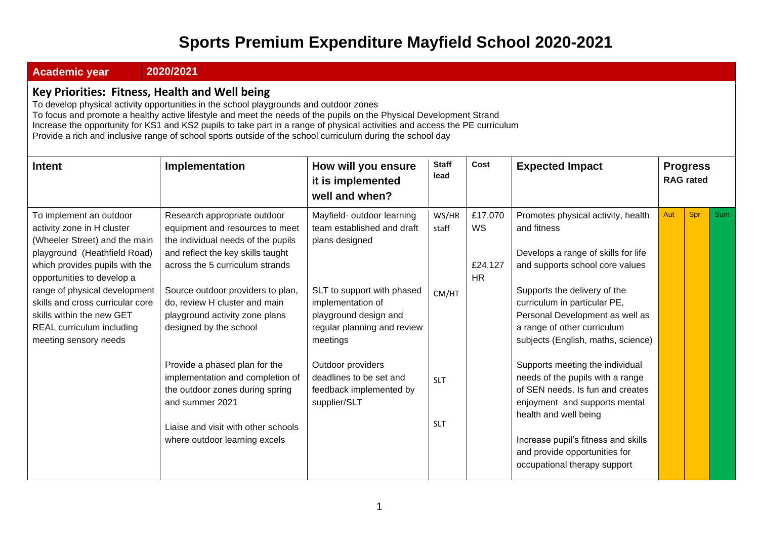## **Sports Premium Expenditure Mayfield School 2020-2021**

• **Academic year 2020/2021**

## **Key Priorities: Fitness, Health and Well being**

To develop physical activity opportunities in the school playgrounds and outdoor zones To focus and promote a healthy active lifestyle and meet the needs of the pupils on the Physical Development Strand Increase the opportunity for KS1 and KS2 pupils to take part in a range of physical activities and access the PE curriculum Provide a rich and inclusive range of school sports outside of the school curriculum during the school day

| <b>Intent</b>                                                                                                                                                                                                                                                                                                                                  | Implementation                                                                                                                                                                                                                                                                                                                                                                                                                                                                                                     | How will you ensure<br>it is implemented<br>well and when?                                                                                                                                                                                                                                   | <b>Staff</b><br>lead                                | Cost                                         | <b>Expected Impact</b>                                                                                                                                                                                                                                                                                                                                                                                                                                                                                                                                                           |     | <b>Progress</b><br><b>RAG</b> rated |     |
|------------------------------------------------------------------------------------------------------------------------------------------------------------------------------------------------------------------------------------------------------------------------------------------------------------------------------------------------|--------------------------------------------------------------------------------------------------------------------------------------------------------------------------------------------------------------------------------------------------------------------------------------------------------------------------------------------------------------------------------------------------------------------------------------------------------------------------------------------------------------------|----------------------------------------------------------------------------------------------------------------------------------------------------------------------------------------------------------------------------------------------------------------------------------------------|-----------------------------------------------------|----------------------------------------------|----------------------------------------------------------------------------------------------------------------------------------------------------------------------------------------------------------------------------------------------------------------------------------------------------------------------------------------------------------------------------------------------------------------------------------------------------------------------------------------------------------------------------------------------------------------------------------|-----|-------------------------------------|-----|
| To implement an outdoor<br>activity zone in H cluster<br>(Wheeler Street) and the main<br>playground (Heathfield Road)<br>which provides pupils with the<br>opportunities to develop a<br>range of physical development<br>skills and cross curricular core<br>skills within the new GET<br>REAL curriculum including<br>meeting sensory needs | Research appropriate outdoor<br>equipment and resources to meet<br>the individual needs of the pupils<br>and reflect the key skills taught<br>across the 5 curriculum strands<br>Source outdoor providers to plan,<br>do, review H cluster and main<br>playground activity zone plans<br>designed by the school<br>Provide a phased plan for the<br>implementation and completion of<br>the outdoor zones during spring<br>and summer 2021<br>Liaise and visit with other schools<br>where outdoor learning excels | Mayfield- outdoor learning<br>team established and draft<br>plans designed<br>SLT to support with phased<br>implementation of<br>playground design and<br>regular planning and review<br>meetings<br>Outdoor providers<br>deadlines to be set and<br>feedback implemented by<br>supplier/SLT | WS/HR<br>staff<br>CM/HT<br><b>SLT</b><br><b>SLT</b> | £17,070<br><b>WS</b><br>£24,127<br><b>HR</b> | Promotes physical activity, health<br>and fitness<br>Develops a range of skills for life<br>and supports school core values<br>Supports the delivery of the<br>curriculum in particular PE,<br>Personal Development as well as<br>a range of other curriculum<br>subjects (English, maths, science)<br>Supports meeting the individual<br>needs of the pupils with a range<br>of SEN needs. Is fun and creates<br>enjoyment and supports mental<br>health and well being<br>Increase pupil's fitness and skills<br>and provide opportunities for<br>occupational therapy support | Aut | Spr                                 | Sum |